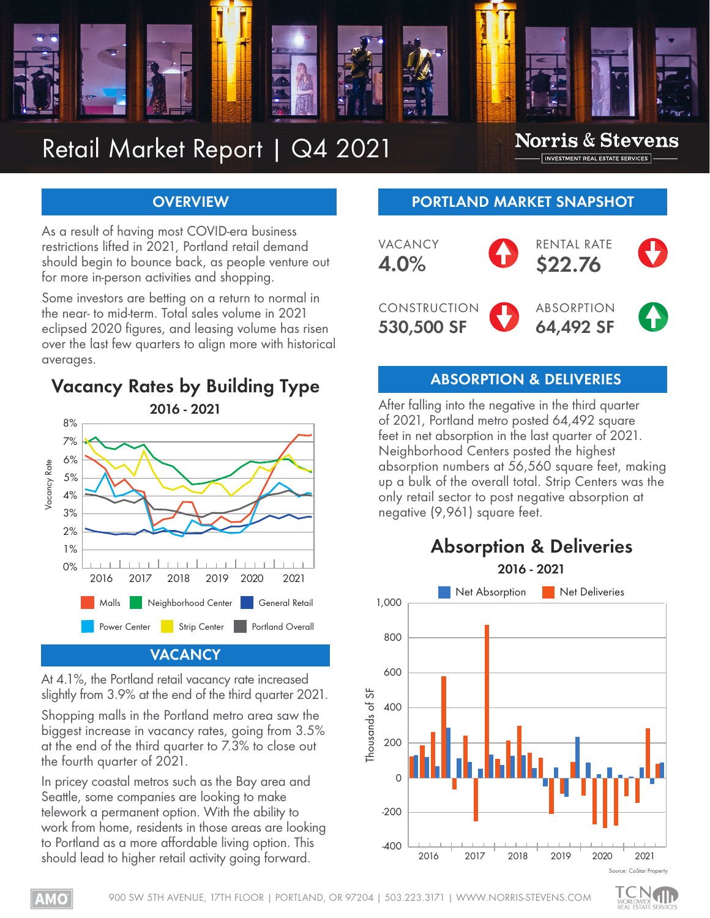

## Retail Market Report | Q4 2021

#### **Norris & Stevens** INVESTMENT REAL ESTATE SERVICES

#### **OVERVIEW**

As a result of having most COVID-era business restrictions lifted in 2021, Portland retail demand should begin to bounce back, as people venture out for more in-person activities and shopping.

Some investors are betting on a return to normal in the near- to mid-term. Total sales volume in 2021 eclipsed 2020 figures, and leasing volume has risen over the last few quarters to align more with historical averages.



At 4.1%, the Portland retail vacancy rate increased slightly from 3.9% at the end of the third quarter 2021.

Shopping malls in the Portland metro area saw the biggest increase in vacancy rates, going from 3.5% at the end of the third quarter to 7.3% to close out the fourth quarter of 2021.

In pricey coastal metros such as the Bay area and Seattle, some companies are looking to make telework a permanent option. With the ability to work from home, residents in those areas are looking to Portland as a more affordable living option. This should lead to higher retail activity going forward.

#### **PORTLAND MARKET SNAPSHOT**



## **ABSORPTION & DELIVERIES Vacancy Rates by Building Type**

After falling into the negative in the third quarter of 2021, Portland metro posted 64,492 square feet in net absorption in the last quarter of 2021. Neighborhood Centers posted the highest absorption numbers at 56,560 square feet, making up a bulk of the overall total. Strip Centers was the only retail sector to post negative absorption at negative (9,961) square feet.



# **Absorption & Deliveries**